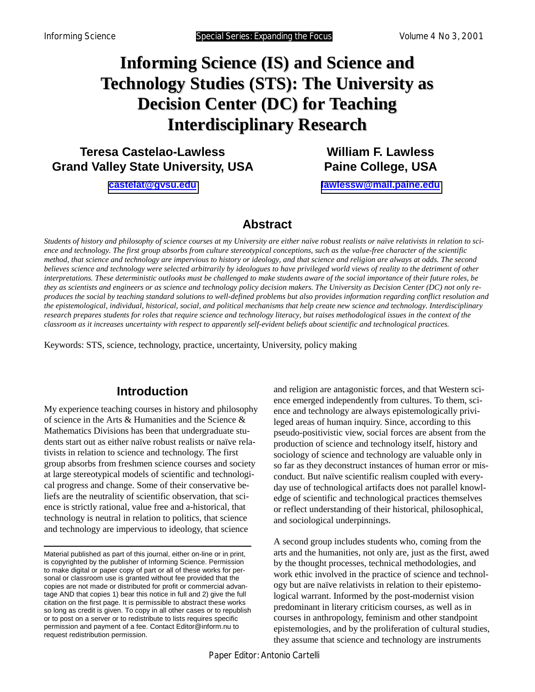# **Informing Science (IS) and Science and Technology Studies (STS): The University as Decision Center (DC) for Teaching Interdisciplinary Research**

**Teresa Castelao-Lawless Grand Valley State University, USA** 

**[castelat@gvsu.edu](mailto:castelat@gvsu.edu)**

**William F. Lawless Paine College, USA** 

**[lawlessw@mail.paine.edu](mailto:lawlessw@mail.paine.edu)**

## **Abstract**

*Students of history and philosophy of science courses at my University are either naïve robust realists or naïve relativists in relation to science and technology. The first group absorbs from culture stereotypical conceptions, such as the value-free character of the scientific method, that science and technology are impervious to history or ideology, and that science and religion are always at odds. The second believes science and technology were selected arbitrarily by ideologues to have privileged world views of reality to the detriment of other interpretations. These deterministic outlooks must be challenged to make students aware of the social importance of their future roles, be they as scientists and engineers or as science and technology policy decision makers. The University as Decision Center (DC) not only reproduces the social by teaching standard solutions to well-defined problems but also provides information regarding conflict resolution and the epistemological, individual, historical, social, and political mechanisms that help create new science and technology. Interdisciplinary research prepares students for roles that require science and technology literacy, but raises methodological issues in the context of the classroom as it increases uncertainty with respect to apparently self-evident beliefs about scientific and technological practices.* 

Keywords: STS, science, technology, practice, uncertainty, University, policy making

# **Introduction**

My experience teaching courses in history and philosophy of science in the Arts & Humanities and the Science & Mathematics Divisions has been that undergraduate students start out as either naïve robust realists or naïve relativists in relation to science and technology. The first group absorbs from freshmen science courses and society at large stereotypical models of scientific and technological progress and change. Some of their conservative beliefs are the neutrality of scientific observation, that science is strictly rational, value free and a-historical, that technology is neutral in relation to politics, that science and technology are impervious to ideology, that science

and religion are antagonistic forces, and that Western science emerged independently from cultures. To them, science and technology are always epistemologically privileged areas of human inquiry. Since, according to this pseudo-positivistic view, social forces are absent from the production of science and technology itself, history and sociology of science and technology are valuable only in so far as they deconstruct instances of human error or misconduct. But naïve scientific realism coupled with everyday use of technological artifacts does not parallel knowledge of scientific and technological practices themselves or reflect understanding of their historical, philosophical, and sociological underpinnings.

A second group includes students who, coming from the arts and the humanities, not only are, just as the first, awed by the thought processes, technical methodologies, and work ethic involved in the practice of science and technology but are naïve relativists in relation to their epistemological warrant. Informed by the post-modernist vision predominant in literary criticism courses, as well as in courses in anthropology, feminism and other standpoint epistemologies, and by the proliferation of cultural studies, they assume that science and technology are instruments

Material published as part of this journal, either on-line or in print, is copyrighted by the publisher of Informing Science. Permission to make digital or paper copy of part or all of these works for personal or classroom use is granted without fee provided that the copies are not made or distributed for profit or commercial advantage AND that copies 1) bear this notice in full and 2) give the full citation on the first page. It is permissible to abstract these works so long as credit is given. To copy in all other cases or to republish or to post on a server or to redistribute to lists requires specific permission and payment of a fee. Contact Editor@inform.nu to request redistribution permission.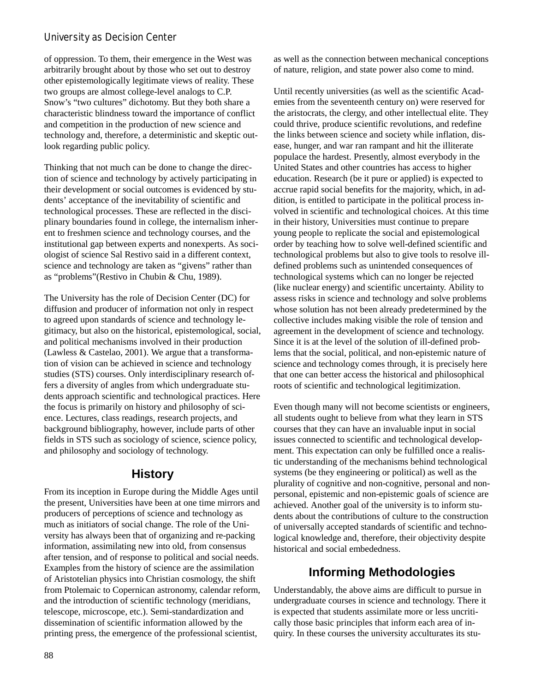#### **University as Decision Center**

of oppression. To them, their emergence in the West was arbitrarily brought about by those who set out to destroy other epistemologically legitimate views of reality. These two groups are almost college-level analogs to C.P. Snow's "two cultures" dichotomy. But they both share a characteristic blindness toward the importance of conflict and competition in the production of new science and technology and, therefore, a deterministic and skeptic outlook regarding public policy.

Thinking that not much can be done to change the direction of science and technology by actively participating in their development or social outcomes is evidenced by students' acceptance of the inevitability of scientific and technological processes. These are reflected in the disciplinary boundaries found in college, the internalism inherent to freshmen science and technology courses, and the institutional gap between experts and nonexperts. As sociologist of science Sal Restivo said in a different context, science and technology are taken as "givens" rather than as "problems"(Restivo in Chubin & Chu, 1989).

The University has the role of Decision Center (DC) for diffusion and producer of information not only in respect to agreed upon standards of science and technology legitimacy, but also on the historical, epistemological, social, and political mechanisms involved in their production (Lawless & Castelao, 2001). We argue that a transformation of vision can be achieved in science and technology studies (STS) courses. Only interdisciplinary research offers a diversity of angles from which undergraduate students approach scientific and technological practices. Here the focus is primarily on history and philosophy of science. Lectures, class readings, research projects, and background bibliography, however, include parts of other fields in STS such as sociology of science, science policy, and philosophy and sociology of technology.

## **History**

From its inception in Europe during the Middle Ages until the present, Universities have been at one time mirrors and producers of perceptions of science and technology as much as initiators of social change. The role of the University has always been that of organizing and re-packing information, assimilating new into old, from consensus after tension, and of response to political and social needs. Examples from the history of science are the assimilation of Aristotelian physics into Christian cosmology, the shift from Ptolemaic to Copernican astronomy, calendar reform, and the introduction of scientific technology (meridians, telescope, microscope, etc.). Semi-standardization and dissemination of scientific information allowed by the printing press, the emergence of the professional scientist,

as well as the connection between mechanical conceptions of nature, religion, and state power also come to mind.

Until recently universities (as well as the scientific Academies from the seventeenth century on) were reserved for the aristocrats, the clergy, and other intellectual elite. They could thrive, produce scientific revolutions, and redefine the links between science and society while inflation, disease, hunger, and war ran rampant and hit the illiterate populace the hardest. Presently, almost everybody in the United States and other countries has access to higher education. Research (be it pure or applied) is expected to accrue rapid social benefits for the majority, which, in addition, is entitled to participate in the political process involved in scientific and technological choices. At this time in their history, Universities must continue to prepare young people to replicate the social and epistemological order by teaching how to solve well-defined scientific and technological problems but also to give tools to resolve illdefined problems such as unintended consequences of technological systems which can no longer be rejected (like nuclear energy) and scientific uncertainty. Ability to assess risks in science and technology and solve problems whose solution has not been already predetermined by the collective includes making visible the role of tension and agreement in the development of science and technology. Since it is at the level of the solution of ill-defined problems that the social, political, and non-epistemic nature of science and technology comes through, it is precisely here that one can better access the historical and philosophical roots of scientific and technological legitimization.

Even though many will not become scientists or engineers, all students ought to believe from what they learn in STS courses that they can have an invaluable input in social issues connected to scientific and technological development. This expectation can only be fulfilled once a realistic understanding of the mechanisms behind technological systems (be they engineering or political) as well as the plurality of cognitive and non-cognitive, personal and nonpersonal, epistemic and non-epistemic goals of science are achieved. Another goal of the university is to inform students about the contributions of culture to the construction of universally accepted standards of scientific and technological knowledge and, therefore, their objectivity despite historical and social embededness.

## **Informing Methodologies**

Understandably, the above aims are difficult to pursue in undergraduate courses in science and technology. There it is expected that students assimilate more or less uncritically those basic principles that inform each area of inquiry. In these courses the university acculturates its stu-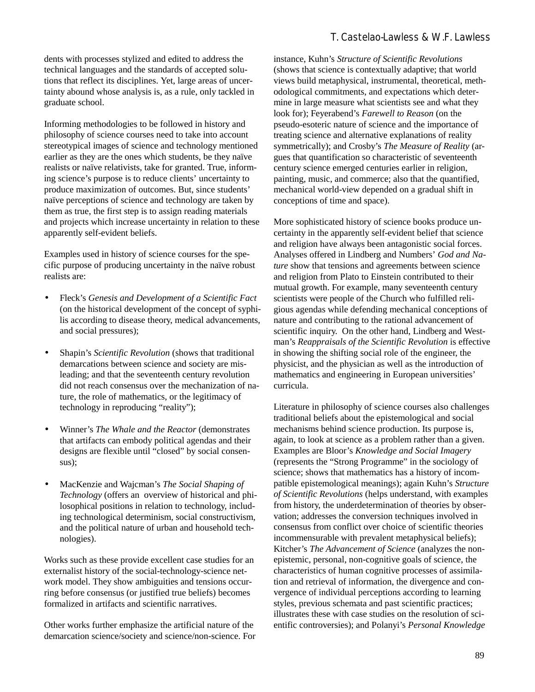#### **T. Castelao-Lawless & W.F. Lawless**

dents with processes stylized and edited to address the technical languages and the standards of accepted solutions that reflect its disciplines. Yet, large areas of uncertainty abound whose analysis is, as a rule, only tackled in graduate school.

Informing methodologies to be followed in history and philosophy of science courses need to take into account stereotypical images of science and technology mentioned earlier as they are the ones which students, be they naïve realists or naïve relativists, take for granted. True, informing science's purpose is to reduce clients' uncertainty to produce maximization of outcomes. But, since students' naïve perceptions of science and technology are taken by them as true, the first step is to assign reading materials and projects which increase uncertainty in relation to these apparently self-evident beliefs.

Examples used in history of science courses for the specific purpose of producing uncertainty in the naïve robust realists are:

- Fleck's *Genesis and Development of a Scientific Fact*  (on the historical development of the concept of syphilis according to disease theory, medical advancements, and social pressures);
- Shapin's *Scientific Revolution* (shows that traditional demarcations between science and society are misleading; and that the seventeenth century revolution did not reach consensus over the mechanization of nature, the role of mathematics, or the legitimacy of technology in reproducing "reality");
- Winner's *The Whale and the Reactor* (demonstrates that artifacts can embody political agendas and their designs are flexible until "closed" by social consensus);
- MacKenzie and Wajcman's *The Social Shaping of Technology* (offers an overview of historical and philosophical positions in relation to technology, including technological determinism, social constructivism, and the political nature of urban and household technologies).

Works such as these provide excellent case studies for an externalist history of the social-technology-science network model. They show ambiguities and tensions occurring before consensus (or justified true beliefs) becomes formalized in artifacts and scientific narratives.

Other works further emphasize the artificial nature of the demarcation science/society and science/non-science. For instance, Kuhn's *Structure of Scientific Revolutions* (shows that science is contextually adaptive; that world views build metaphysical, instrumental, theoretical, methodological commitments, and expectations which determine in large measure what scientists see and what they look for); Feyerabend's *Farewell to Reason* (on the pseudo-esoteric nature of science and the importance of treating science and alternative explanations of reality symmetrically); and Crosby's *The Measure of Reality* (argues that quantification so characteristic of seventeenth century science emerged centuries earlier in religion, painting, music, and commerce; also that the quantified, mechanical world-view depended on a gradual shift in conceptions of time and space).

More sophisticated history of science books produce uncertainty in the apparently self-evident belief that science and religion have always been antagonistic social forces. Analyses offered in Lindberg and Numbers' *God and Nature* show that tensions and agreements between science and religion from Plato to Einstein contributed to their mutual growth. For example, many seventeenth century scientists were people of the Church who fulfilled religious agendas while defending mechanical conceptions of nature and contributing to the rational advancement of scientific inquiry. On the other hand, Lindberg and Westman's *Reappraisals of the Scientific Revolution* is effective in showing the shifting social role of the engineer, the physicist, and the physician as well as the introduction of mathematics and engineering in European universities' curricula.

Literature in philosophy of science courses also challenges traditional beliefs about the epistemological and social mechanisms behind science production. Its purpose is, again, to look at science as a problem rather than a given. Examples are Bloor's *Knowledge and Social Imagery* (represents the "Strong Programme" in the sociology of science; shows that mathematics has a history of incompatible epistemological meanings); again Kuhn's *Structure of Scientific Revolutions* (helps understand, with examples from history, the underdetermination of theories by observation; addresses the conversion techniques involved in consensus from conflict over choice of scientific theories incommensurable with prevalent metaphysical beliefs); Kitcher's *The Advancement of Science* (analyzes the nonepistemic, personal, non-cognitive goals of science, the characteristics of human cognitive processes of assimilation and retrieval of information, the divergence and convergence of individual perceptions according to learning styles, previous schemata and past scientific practices; illustrates these with case studies on the resolution of scientific controversies); and Polanyi's *Personal Knowledge*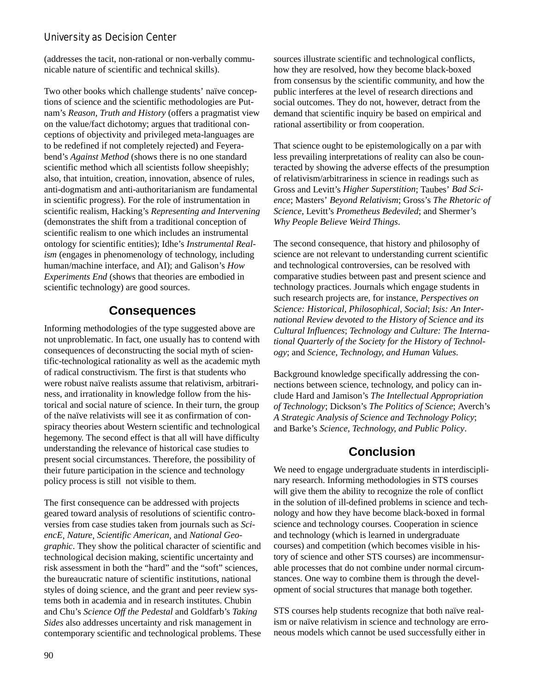### **University as Decision Center**

(addresses the tacit, non-rational or non-verbally communicable nature of scientific and technical skills).

Two other books which challenge students' naïve conceptions of science and the scientific methodologies are Putnam's *Reason, Truth and History* (offers a pragmatist view on the value/fact dichotomy; argues that traditional conceptions of objectivity and privileged meta-languages are to be redefined if not completely rejected) and Feyerabend's *Against Method* (shows there is no one standard scientific method which all scientists follow sheepishly; also, that intuition, creation, innovation, absence of rules, anti-dogmatism and anti-authoritarianism are fundamental in scientific progress). For the role of instrumentation in scientific realism, Hacking's *Representing and Intervening*  (demonstrates the shift from a traditional conception of scientific realism to one which includes an instrumental ontology for scientific entities); Idhe's *Instrumental Realism* (engages in phenomenology of technology, including human/machine interface, and AI); and Galison's *How Experiments End* (shows that theories are embodied in scientific technology) are good sources.

# **Consequences**

Informing methodologies of the type suggested above are not unproblematic. In fact, one usually has to contend with consequences of deconstructing the social myth of scientific-technological rationality as well as the academic myth of radical constructivism. The first is that students who were robust naïve realists assume that relativism, arbitrariness, and irrationality in knowledge follow from the historical and social nature of science. In their turn, the group of the naïve relativists will see it as confirmation of conspiracy theories about Western scientific and technological hegemony. The second effect is that all will have difficulty understanding the relevance of historical case studies to present social circumstances. Therefore, the possibility of their future participation in the science and technology policy process is still not visible to them.

The first consequence can be addressed with projects geared toward analysis of resolutions of scientific controversies from case studies taken from journals such as *SciencE*, *Nature*, *Scientific American*, and *National Geographic*. They show the political character of scientific and technological decision making, scientific uncertainty and risk assessment in both the "hard" and the "soft" sciences, the bureaucratic nature of scientific institutions, national styles of doing science, and the grant and peer review systems both in academia and in research institutes. Chubin and Chu's *Science Off the Pedestal* and Goldfarb's *Taking Sides* also addresses uncertainty and risk management in contemporary scientific and technological problems. These sources illustrate scientific and technological conflicts, how they are resolved, how they become black-boxed from consensus by the scientific community, and how the public interferes at the level of research directions and social outcomes. They do not, however, detract from the demand that scientific inquiry be based on empirical and rational assertibility or from cooperation.

That science ought to be epistemologically on a par with less prevailing interpretations of reality can also be counteracted by showing the adverse effects of the presumption of relativism/arbitrariness in science in readings such as Gross and Levitt's *Higher Superstition*; Taubes' *Bad Science*; Masters' *Beyond Relativism*; Gross's *The Rhetoric of Science*, Levitt's *Prometheus Bedeviled*; and Shermer's *Why People Believe Weird Things*.

The second consequence, that history and philosophy of science are not relevant to understanding current scientific and technological controversies, can be resolved with comparative studies between past and present science and technology practices. Journals which engage students in such research projects are, for instance, *Perspectives on Science: Historical, Philosophical, Social*; *Isis: An International Review devoted to the History of Science and its Cultural Influences*; *Technology and Culture: The International Quarterly of the Society for the History of Technology*; and *Science, Technology, and Human Values*.

Background knowledge specifically addressing the connections between science, technology, and policy can include Hard and Jamison's *The Intellectual Appropriation of Technology*; Dickson's *The Politics of Science*; Averch's *A Strategic Analysis of Science and Technology Policy*; and Barke's *Science, Technology, and Public Policy*.

## **Conclusion**

We need to engage undergraduate students in interdisciplinary research. Informing methodologies in STS courses will give them the ability to recognize the role of conflict in the solution of ill-defined problems in science and technology and how they have become black-boxed in formal science and technology courses. Cooperation in science and technology (which is learned in undergraduate courses) and competition (which becomes visible in history of science and other STS courses) are incommensurable processes that do not combine under normal circumstances. One way to combine them is through the development of social structures that manage both together.

STS courses help students recognize that both naïve realism or naïve relativism in science and technology are erroneous models which cannot be used successfully either in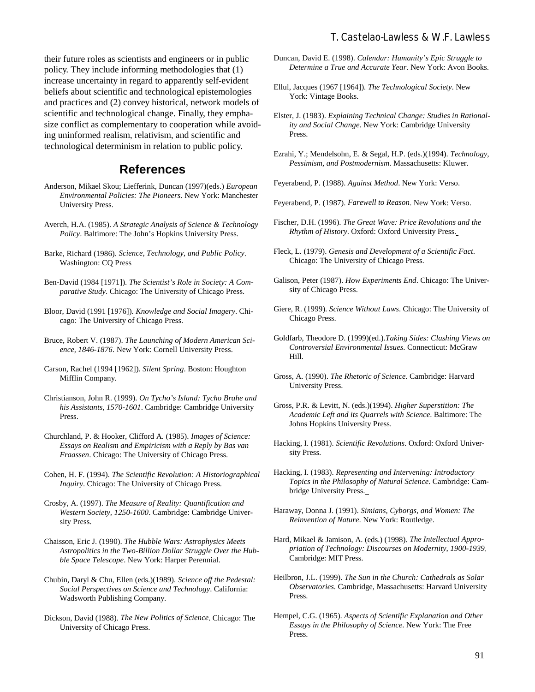#### **T. Castelao-Lawless & W.F. Lawless**

their future roles as scientists and engineers or in public policy. They include informing methodologies that (1) increase uncertainty in regard to apparently self-evident beliefs about scientific and technological epistemologies and practices and (2) convey historical, network models of scientific and technological change. Finally, they emphasize conflict as complementary to cooperation while avoiding uninformed realism, relativism, and scientific and technological determinism in relation to public policy.

## **References**

- Anderson, Mikael Skou; Liefferink, Duncan (1997)(eds.) *European Environmental Policies: The Pioneers*. New York: Manchester University Press.
- Averch, H.A. (1985). *A Strategic Analysis of Science & Technology Policy*. Baltimore: The John's Hopkins University Press.
- Barke, Richard (1986). *Science, Technology, and Public Policy*. Washington: CQ Press
- Ben-David (1984 [1971]). *The Scientist's Role in Society: A Comparative Study*. Chicago: The University of Chicago Press.
- Bloor, David (1991 [1976]). *Knowledge and Social Imagery*. Chicago: The University of Chicago Press.
- Bruce, Robert V. (1987). *The Launching of Modern American Science, 1846-1876*. New York: Cornell University Press.
- Carson, Rachel (1994 [1962]). *Silent Spring*. Boston: Houghton Mifflin Company.
- Christianson, John R. (1999). *On Tycho's Island: Tycho Brahe and his Assistants, 1570-1601*. Cambridge: Cambridge University Press.
- Churchland, P. & Hooker, Clifford A. (1985). *Images of Science: Essays on Realism and Empiricism with a Reply by Bas van Fraassen*. Chicago: The University of Chicago Press.
- Cohen, H. F. (1994). *The Scientific Revolution: A Historiographical Inquiry*. Chicago: The University of Chicago Press.
- Crosby, A. (1997). *The Measure of Reality: Quantification and Western Society, 1250-1600*. Cambridge: Cambridge University Press.
- Chaisson, Eric J. (1990). *The Hubble Wars: Astrophysics Meets Astropolitics in the Two-Billion Dollar Struggle Over the Hubble Space Telescope*. New York: Harper Perennial.
- Chubin, Daryl & Chu, Ellen (eds.)(1989). *Science off the Pedestal: Social Perspectives on Science and Technology*. California: Wadsworth Publishing Company.
- Dickson, David (1988). *The New Politics of Science*. Chicago: The University of Chicago Press.
- Duncan, David E. (1998). *Calendar: Humanity's Epic Struggle to Determine a True and Accurate Year*. New York: Avon Books.
- Ellul, Jacques (1967 [1964]). *The Technological Society*. New York: Vintage Books.
- Elster, J. (1983). *Explaining Technical Change: Studies in Rationality and Social Change*. New York: Cambridge University Press.
- Ezrahi, Y.; Mendelsohn, E. & Segal, H.P. (eds.)(1994). *Technology, Pessimism, and Postmodernism*. Massachusetts: Kluwer.
- Feyerabend, P. (1988). *Against Method*. New York: Verso.
- Feyerabend, P. (1987). *Farewell to Reason*. New York: Verso.
- Fischer, D.H. (1996). *The Great Wave: Price Revolutions and the Rhythm of History*. Oxford: Oxford University Press.
- Fleck, L. (1979). *Genesis and Development of a Scientific Fact*. Chicago: The University of Chicago Press.
- Galison, Peter (1987). *How Experiments End*. Chicago: The University of Chicago Press.
- Giere, R. (1999). *Science Without Laws*. Chicago: The University of Chicago Press.
- Goldfarb, Theodore D. (1999)(ed.).*Taking Sides: Clashing Views on Controversial Environmental Issues*. Connecticut: McGraw Hill.
- Gross, A. (1990). *The Rhetoric of Science*. Cambridge: Harvard University Press.
- Gross, P.R. & Levitt, N. (eds.)(1994). *Higher Superstition: The Academic Left and its Quarrels with Science*. Baltimore: The Johns Hopkins University Press.
- Hacking, I. (1981). *Scientific Revolutions*. Oxford: Oxford University Press.
- Hacking, I. (1983). *Representing and Intervening: Introductory Topics in the Philosophy of Natural Science*. Cambridge: Cambridge University Press.
- Haraway, Donna J. (1991). *Simians, Cyborgs, and Women: The Reinvention of Nature*. New York: Routledge.
- Hard, Mikael & Jamison, A. (eds.) (1998). *The Intellectual Appropriation of Technology: Discourses on Modernity, 1900-1939*. Cambridge: MIT Press.
- Heilbron, J.L. (1999). *The Sun in the Church: Cathedrals as Solar Observatories*. Cambridge, Massachusetts: Harvard University Press.
- Hempel, C.G. (1965). *Aspects of Scientific Explanation and Other Essays in the Philosophy of Science*. New York: The Free Press.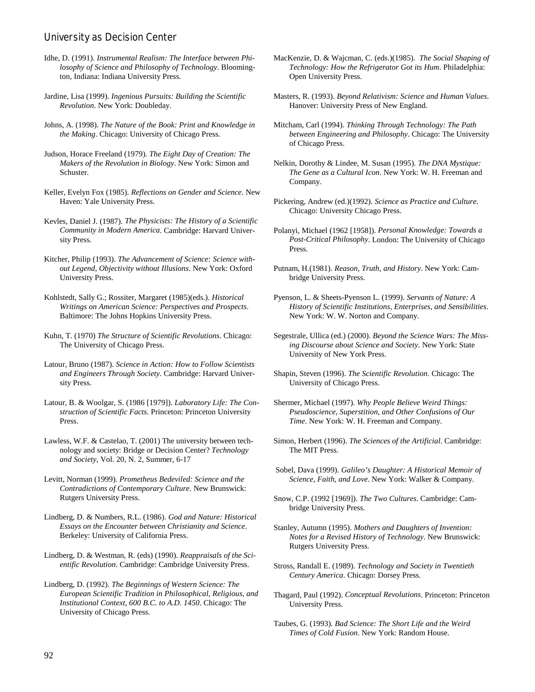#### **University as Decision Center**

- Idhe, D. (1991). *Instrumental Realism: The Interface between Philosophy of Science and Philosophy of Technology*. Bloomington, Indiana: Indiana University Press.
- Jardine, Lisa (1999). *Ingenious Pursuits: Building the Scientific Revolution*. New York: Doubleday.
- Johns, A. (1998). *The Nature of the Book: Print and Knowledge in the Making*. Chicago: University of Chicago Press.
- Judson, Horace Freeland (1979). *The Eight Day of Creation: The Makers of the Revolution in Biology*. New York: Simon and Schuster.
- Keller, Evelyn Fox (1985). *Reflections on Gender and Science*. New Haven: Yale University Press.
- Kevles, Daniel J. (1987). *The Physicists: The History of a Scientific Community in Modern America*. Cambridge: Harvard University Press.
- Kitcher, Philip (1993). *The Advancement of Science: Science without Legend, Objectivity without Illusions*. New York: Oxford University Press.
- Kohlstedt, Sally G.; Rossiter, Margaret (1985)(eds.). *Historical Writings on American Science: Perspectives and Prospects*. Baltimore: The Johns Hopkins University Press.
- Kuhn, T. (1970) *The Structure of Scientific Revolutions*. Chicago: The University of Chicago Press.
- Latour, Bruno (1987). *Science in Action: How to Follow Scientists and Engineers Through Society*. Cambridge: Harvard University Press.
- Latour, B. & Woolgar, S. (1986 [1979]). *Laboratory Life: The Construction of Scientific Facts*. Princeton: Princeton University Press.
- Lawless, W.F. & Castelao, T. (2001) The university between technology and society: Bridge or Decision Center? *Technology and Society*, Vol. 20, N. 2, Summer, 6-17
- Levitt, Norman (1999). *Prometheus Bedeviled: Science and the Contradictions of Contemporary Culture*. New Brunswick: Rutgers University Press.
- Lindberg, D. & Numbers, R.L. (1986). *God and Nature: Historical Essays on the Encounter between Christianity and Science*. Berkeley: University of California Press.
- Lindberg, D. & Westman, R. (eds) (1990). *Reappraisals of the Scientific Revolution*. Cambridge: Cambridge University Press.
- Lindberg, D. (1992). *The Beginnings of Western Science: The European Scientific Tradition in Philosophical, Religious, and Institutional Context, 600 B.C. to A.D. 1450*. Chicago: The University of Chicago Press.
- MacKenzie, D. & Wajcman, C. (eds.)(1985). *The Social Shaping of Technology: How the Refrigerator Got its Hum*. Philadelphia: Open University Press.
- Masters, R. (1993). *Beyond Relativism: Science and Human Values*. Hanover: University Press of New England.
- Mitcham, Carl (1994). *Thinking Through Technology: The Path between Engineering and Philosophy*. Chicago: The University of Chicago Press.
- Nelkin, Dorothy & Lindee, M. Susan (1995). *The DNA Mystique: The Gene as a Cultural Icon*. New York: W. H. Freeman and Company.
- Pickering, Andrew (ed.)(1992). *Science as Practice and Culture*. Chicago: University Chicago Press.
- Polanyi, Michael (1962 [1958]). *Personal Knowledge: Towards a Post-Critical Philosophy*. London: The University of Chicago Press.
- Putnam, H.(1981). *Reason, Truth, and History*. New York: Cambridge University Press.
- Pyenson, L. & Sheets-Pyenson L. (1999). *Servants of Nature: A History of Scientific Institutions, Enterprises, and Sensibilities*. New York: W. W. Norton and Company.
- Segestrale, Ullica (ed.) (2000). *Beyond the Science Wars: The Missing Discourse about Science and Society*. New York: State University of New York Press.
- Shapin, Steven (1996). *The Scientific Revolution*. Chicago: The University of Chicago Press.
- Shermer, Michael (1997). *Why People Believe Weird Things: Pseudoscience, Superstition, and Other Confusions of Our Time*. New York: W. H. Freeman and Company.
- Simon, Herbert (1996). *The Sciences of the Artificial*. Cambridge: The MIT Press.
- Sobel, Dava (1999). *Galileo's Daughter: A Historical Memoir of Science, Faith, and Love*. New York: Walker & Company.
- Snow, C.P. (1992 [1969]). *The Two Cultures*. Cambridge: Cambridge University Press.
- Stanley, Autumn (1995). *Mothers and Daughters of Invention: Notes for a Revised History of Technology*. New Brunswick: Rutgers University Press.
- Stross, Randall E. (1989). *Technology and Society in Twentieth Century America*. Chicago: Dorsey Press.
- Thagard, Paul (1992). *Conceptual Revolutions*. Princeton: Princeton University Press.
- Taubes, G. (1993). *Bad Science: The Short Life and the Weird Times of Cold Fusion*. New York: Random House.